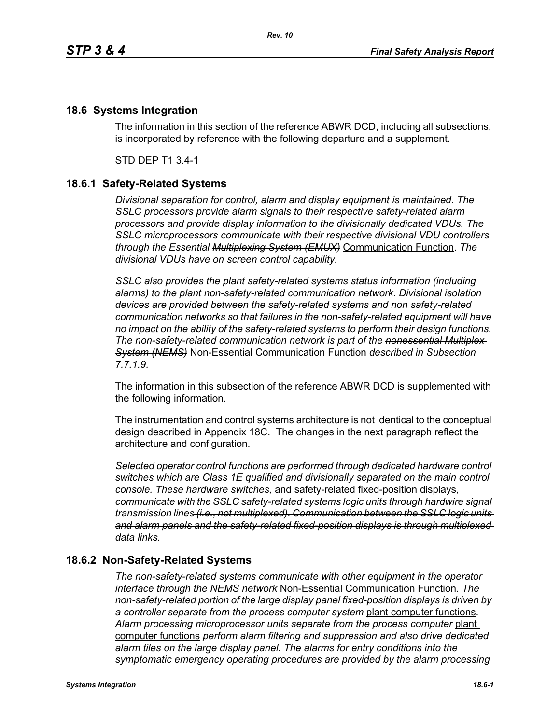## **18.6 Systems Integration**

The information in this section of the reference ABWR DCD, including all subsections, is incorporated by reference with the following departure and a supplement.

STD DEP T1 3.4-1

## **18.6.1 Safety-Related Systems**

*Divisional separation for control, alarm and display equipment is maintained. The SSLC processors provide alarm signals to their respective safety-related alarm processors and provide display information to the divisionally dedicated VDUs. The SSLC microprocessors communicate with their respective divisional VDU controllers through the Essential Multiplexing System (EMUX)* Communication Function. *The divisional VDUs have on screen control capability.*

*SSLC also provides the plant safety-related systems status information (including alarms) to the plant non-safety-related communication network. Divisional isolation devices are provided between the safety-related systems and non safety-related communication networks so that failures in the non-safety-related equipment will have no impact on the ability of the safety-related systems to perform their design functions. The non-safety-related communication network is part of the nonessential Multiplex System (NEMS)* Non-Essential Communication Function *described in Subsection 7.7.1.9.*

The information in this subsection of the reference ABWR DCD is supplemented with the following information.

The instrumentation and control systems architecture is not identical to the conceptual design described in Appendix 18C. The changes in the next paragraph reflect the architecture and configuration.

*Selected operator control functions are performed through dedicated hardware control switches which are Class 1E qualified and divisionally separated on the main control console. These hardware switches,* and safety-related fixed-position displays, *communicate with the SSLC safety-related systems logic units through hardwire signal transmission lines (i.e., not multiplexed). Communication between the SSLC logic units and alarm panels and the safety-related fixed-position displays is through multiplexed data links.*

## **18.6.2 Non-Safety-Related Systems**

*The non-safety-related systems communicate with other equipment in the operator interface through the NEMS network* Non-Essential Communication Function. *The non-safety-related portion of the large display panel fixed-position displays is driven by a controller separate from the process computer system* plant computer functions. *Alarm processing microprocessor units separate from the process computer* plant computer functions *perform alarm filtering and suppression and also drive dedicated alarm tiles on the large display panel. The alarms for entry conditions into the symptomatic emergency operating procedures are provided by the alarm processing*